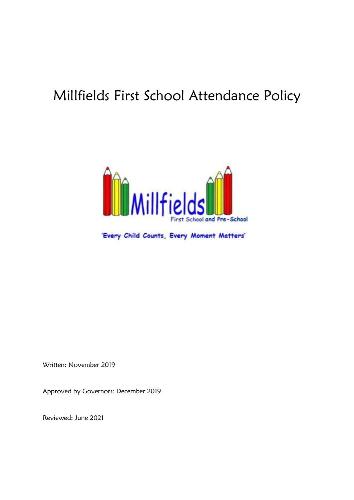# Millfields First School Attendance Policy



'Every Child Counts, Every Moment Matters'

Written: November 2019

Approved by Governors: December 2019

Reviewed: June 2021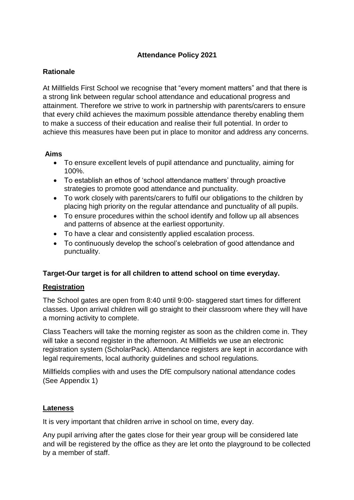# **Attendance Policy 2021**

# **Rationale**

At Millfields First School we recognise that "every moment matters" and that there is a strong link between regular school attendance and educational progress and attainment. Therefore we strive to work in partnership with parents/carers to ensure that every child achieves the maximum possible attendance thereby enabling them to make a success of their education and realise their full potential. In order to achieve this measures have been put in place to monitor and address any concerns.

# **Aims**

- To ensure excellent levels of pupil attendance and punctuality, aiming for 100%.
- To establish an ethos of 'school attendance matters' through proactive strategies to promote good attendance and punctuality.
- To work closely with parents/carers to fulfil our obligations to the children by placing high priority on the regular attendance and punctuality of all pupils.
- To ensure procedures within the school identify and follow up all absences and patterns of absence at the earliest opportunity.
- To have a clear and consistently applied escalation process.
- To continuously develop the school's celebration of good attendance and punctuality.

# **Target-Our target is for all children to attend school on time everyday.**

# **Registration**

The School gates are open from 8:40 until 9:00- staggered start times for different classes. Upon arrival children will go straight to their classroom where they will have a morning activity to complete.

Class Teachers will take the morning register as soon as the children come in. They will take a second register in the afternoon. At Millfields we use an electronic registration system (ScholarPack). Attendance registers are kept in accordance with legal requirements, local authority guidelines and school regulations.

Millfields complies with and uses the DfE compulsory national attendance codes (See Appendix 1)

# **Lateness**

It is very important that children arrive in school on time, every day.

Any pupil arriving after the gates close for their year group will be considered late and will be registered by the office as they are let onto the playground to be collected by a member of staff.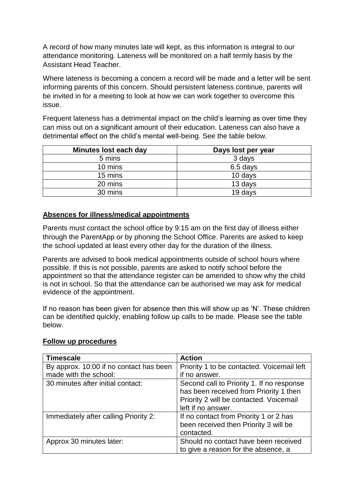A record of how many minutes late will kept, as this information is integral to our attendance monitoring. Lateness will be monitored on a half termly basis by the Assistant Head Teacher.

Where lateness is becoming a concern a record will be made and a letter will be sent informing parents of this concern. Should persistent lateness continue, parents will be invited in for a meeting to look at how we can work together to overcome this issue.

Frequent lateness has a detrimental impact on the child's learning as over time they can miss out on a significant amount of their education. Lateness can also have a detrimental effect on the child's mental well-being. See the table below.

| Minutes lost each day | Days lost per year |
|-----------------------|--------------------|
| 5 mins                | 3 days             |
| 10 mins               | 6.5 days           |
| 15 mins               | 10 days            |
| 20 mins               | 13 days            |
| 30 mins               | 19 days            |

#### **Absences for illness/medical appointments**

Parents must contact the school office by 9:15 am on the first day of illness either through the ParentApp or by phoning the School Office. Parents are asked to keep the school updated at least every other day for the duration of the illness.

Parents are advised to book medical appointments outside of school hours where possible. If this is not possible, parents are asked to notify school before the appointment so that the attendance register can be amended to show why the child is not in school. So that the attendance can be authorised we may ask for medical evidence of the appointment.

If no reason has been given for absence then this will show up as 'N'. These children can be identified quickly, enabling follow up calls to be made. Please see the table below.

| <b>Timescale</b>                        | <b>Action</b>                              |
|-----------------------------------------|--------------------------------------------|
| By approx. 10:00 if no contact has been | Priority 1 to be contacted. Voicemail left |
| made with the school:                   | if no answer.                              |
| 30 minutes after initial contact:       | Second call to Priority 1. If no response  |
|                                         | has been received from Priority 1 then     |
|                                         | Priority 2 will be contacted. Voicemail    |
|                                         | left if no answer.                         |
| Immediately after calling Priority 2:   | If no contact from Priority 1 or 2 has     |
|                                         | been received then Priority 3 will be      |
|                                         | contacted.                                 |
| Approx 30 minutes later:                | Should no contact have been received       |
|                                         | to give a reason for the absence, a        |

#### **Follow up procedures**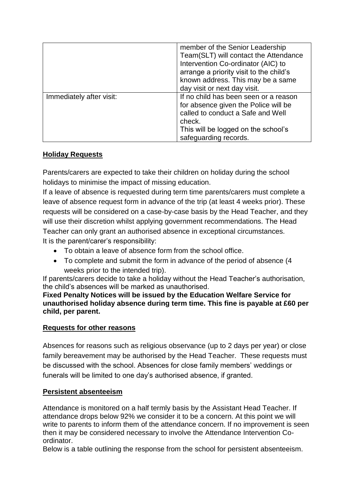|                          | member of the Senior Leadership<br>Team(SLT) will contact the Attendance<br>Intervention Co-ordinator (AIC) to<br>arrange a priority visit to the child's<br>known address. This may be a same<br>day visit or next day visit. |
|--------------------------|--------------------------------------------------------------------------------------------------------------------------------------------------------------------------------------------------------------------------------|
| Immediately after visit: | If no child has been seen or a reason<br>for absence given the Police will be<br>called to conduct a Safe and Well<br>check.<br>This will be logged on the school's<br>safeguarding records.                                   |

# **Holiday Requests**

Parents/carers are expected to take their children on holiday during the school holidays to minimise the impact of missing education.

If a leave of absence is requested during term time parents/carers must complete a leave of absence request form in advance of the trip (at least 4 weeks prior). These requests will be considered on a case-by-case basis by the Head Teacher, and they will use their discretion whilst applying government recommendations. The Head Teacher can only grant an authorised absence in exceptional circumstances. It is the parent/carer's responsibility:

- To obtain a leave of absence form from the school office.
- To complete and submit the form in advance of the period of absence (4 weeks prior to the intended trip).

If parents/carers decide to take a holiday without the Head Teacher's authorisation, the child's absences will be marked as unauthorised.

**Fixed Penalty Notices will be issued by the Education Welfare Service for unauthorised holiday absence during term time. This fine is payable at £60 per child, per parent.**

# **Requests for other reasons**

Absences for reasons such as religious observance (up to 2 days per year) or close family bereavement may be authorised by the Head Teacher. These requests must be discussed with the school. Absences for close family members' weddings or funerals will be limited to one day's authorised absence, if granted.

#### **Persistent absenteeism**

Attendance is monitored on a half termly basis by the Assistant Head Teacher. If attendance drops below 92% we consider it to be a concern. At this point we will write to parents to inform them of the attendance concern. If no improvement is seen then it may be considered necessary to involve the Attendance Intervention Coordinator.

Below is a table outlining the response from the school for persistent absenteeism.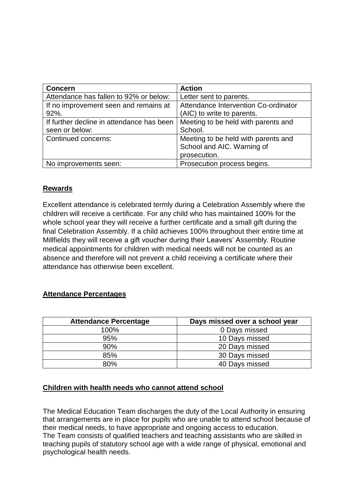| <b>Concern</b>                            | <b>Action</b>                        |
|-------------------------------------------|--------------------------------------|
| Attendance has fallen to 92% or below:    | Letter sent to parents.              |
| If no improvement seen and remains at     | Attendance Intervention Co-ordinator |
| 92%.                                      | (AIC) to write to parents.           |
| If further decline in attendance has been | Meeting to be held with parents and  |
| seen or below:                            | School.                              |
| Continued concerns:                       | Meeting to be held with parents and  |
|                                           | School and AIC. Warning of           |
|                                           | prosecution.                         |
| No improvements seen:                     | Prosecution process begins.          |

# **Rewards**

Excellent attendance is celebrated termly during a Celebration Assembly where the children will receive a certificate. For any child who has maintained 100% for the whole school year they will receive a further certificate and a small gift during the final Celebration Assembly. If a child achieves 100% throughout their entire time at Millfields they will receive a gift voucher during their Leavers' Assembly. Routine medical appointments for children with medical needs will not be counted as an absence and therefore will not prevent a child receiving a certificate where their attendance has otherwise been excellent.

#### **Attendance Percentages**

| <b>Attendance Percentage</b> | Days missed over a school year |
|------------------------------|--------------------------------|
| 100%                         | 0 Days missed                  |
| 95%                          | 10 Days missed                 |
| 90%                          | 20 Days missed                 |
| 85%                          | 30 Days missed                 |
| 80%                          | 40 Days missed                 |

# **Children with health needs who cannot attend school**

The Medical Education Team discharges the duty of the Local Authority in ensuring that arrangements are in place for pupils who are unable to attend school because of their medical needs, to have appropriate and ongoing access to education. The Team consists of qualified teachers and teaching assistants who are skilled in teaching pupils of statutory school age with a wide range of physical, emotional and psychological health needs.